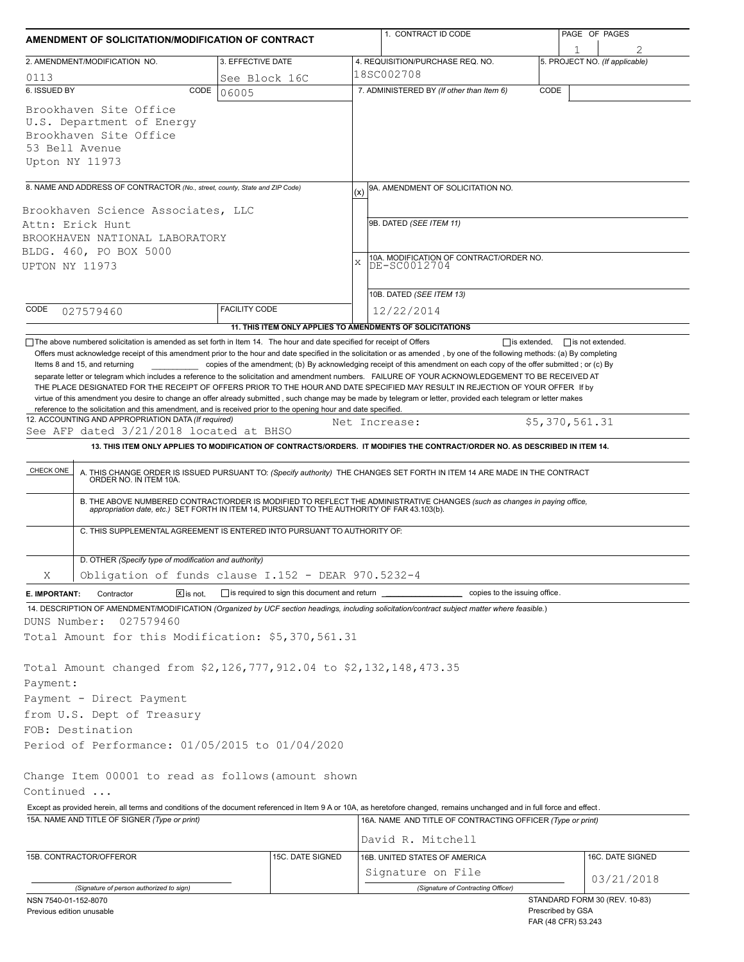| AMENDMENT OF SOLICITATION/MODIFICATION OF CONTRACT                                                                                                                                                                                                                                                                                                                                                                                                                                                                                                                                                                                  |                                              | 1. CONTRACT ID CODE |                                                                                                                                                                                                                                                                                                                                                                              | PAGE OF PAGES     |                                |  |  |  |
|-------------------------------------------------------------------------------------------------------------------------------------------------------------------------------------------------------------------------------------------------------------------------------------------------------------------------------------------------------------------------------------------------------------------------------------------------------------------------------------------------------------------------------------------------------------------------------------------------------------------------------------|----------------------------------------------|---------------------|------------------------------------------------------------------------------------------------------------------------------------------------------------------------------------------------------------------------------------------------------------------------------------------------------------------------------------------------------------------------------|-------------------|--------------------------------|--|--|--|
| 2. AMENDMENT/MODIFICATION NO.                                                                                                                                                                                                                                                                                                                                                                                                                                                                                                                                                                                                       | 3. EFFECTIVE DATE                            |                     | 4. REQUISITION/PURCHASE REQ. NO.                                                                                                                                                                                                                                                                                                                                             |                   | 5. PROJECT NO. (If applicable) |  |  |  |
| 0113                                                                                                                                                                                                                                                                                                                                                                                                                                                                                                                                                                                                                                | See Block 16C                                |                     | 18SC002708                                                                                                                                                                                                                                                                                                                                                                   |                   |                                |  |  |  |
| 6. ISSUED BY<br>CODE                                                                                                                                                                                                                                                                                                                                                                                                                                                                                                                                                                                                                | 06005                                        |                     | 7. ADMINISTERED BY (If other than Item 6)                                                                                                                                                                                                                                                                                                                                    | CODE              |                                |  |  |  |
| Brookhaven Site Office<br>U.S. Department of Energy<br>Brookhaven Site Office<br>53 Bell Avenue<br>Upton NY 11973                                                                                                                                                                                                                                                                                                                                                                                                                                                                                                                   |                                              |                     |                                                                                                                                                                                                                                                                                                                                                                              |                   |                                |  |  |  |
| 8. NAME AND ADDRESS OF CONTRACTOR (No., street, county, State and ZIP Code)                                                                                                                                                                                                                                                                                                                                                                                                                                                                                                                                                         |                                              |                     |                                                                                                                                                                                                                                                                                                                                                                              |                   |                                |  |  |  |
|                                                                                                                                                                                                                                                                                                                                                                                                                                                                                                                                                                                                                                     |                                              | (x)                 | 9A. AMENDMENT OF SOLICITATION NO.                                                                                                                                                                                                                                                                                                                                            |                   |                                |  |  |  |
| Brookhaven Science Associates, LLC<br>Attn: Erick Hunt<br>BROOKHAVEN NATIONAL LABORATORY<br>BLDG. 460, PO BOX 5000<br>UPTON NY 11973                                                                                                                                                                                                                                                                                                                                                                                                                                                                                                |                                              |                     | 9B. DATED (SEE ITEM 11)                                                                                                                                                                                                                                                                                                                                                      |                   |                                |  |  |  |
|                                                                                                                                                                                                                                                                                                                                                                                                                                                                                                                                                                                                                                     |                                              |                     | 10A. MODIFICATION OF CONTRACT/ORDER NO.<br>X<br>DE-SC0012704                                                                                                                                                                                                                                                                                                                 |                   |                                |  |  |  |
|                                                                                                                                                                                                                                                                                                                                                                                                                                                                                                                                                                                                                                     |                                              |                     | 10B. DATED (SEE ITEM 13)                                                                                                                                                                                                                                                                                                                                                     |                   |                                |  |  |  |
| CODE<br>027579460                                                                                                                                                                                                                                                                                                                                                                                                                                                                                                                                                                                                                   | <b>FACILITY CODE</b>                         |                     | 12/22/2014                                                                                                                                                                                                                                                                                                                                                                   |                   |                                |  |  |  |
|                                                                                                                                                                                                                                                                                                                                                                                                                                                                                                                                                                                                                                     |                                              |                     | 11. THIS ITEM ONLY APPLIES TO AMENDMENTS OF SOLICITATIONS                                                                                                                                                                                                                                                                                                                    |                   |                                |  |  |  |
| separate letter or telegram which includes a reference to the solicitation and amendment numbers. FAILURE OF YOUR ACKNOWLEDGEMENT TO BE RECEIVED AT<br>THE PLACE DESIGNATED FOR THE RECEIPT OF OFFERS PRIOR TO THE HOUR AND DATE SPECIFIED MAY RESULT IN REJECTION OF YOUR OFFER If by<br>virtue of this amendment you desire to change an offer already submitted, such change may be made by telegram or letter, provided each telegram or letter makes<br>reference to the solicitation and this amendment, and is received prior to the opening hour and date specified.<br>12. ACCOUNTING AND APPROPRIATION DATA (If required) |                                              |                     |                                                                                                                                                                                                                                                                                                                                                                              |                   |                                |  |  |  |
| See AFP dated 3/21/2018 located at BHSO                                                                                                                                                                                                                                                                                                                                                                                                                                                                                                                                                                                             |                                              |                     | Net Increase:                                                                                                                                                                                                                                                                                                                                                                | \$5,370,561.31    |                                |  |  |  |
|                                                                                                                                                                                                                                                                                                                                                                                                                                                                                                                                                                                                                                     |                                              |                     | 13. THIS ITEM ONLY APPLIES TO MODIFICATION OF CONTRACTS/ORDERS. IT MODIFIES THE CONTRACT/ORDER NO. AS DESCRIBED IN ITEM 14.                                                                                                                                                                                                                                                  |                   |                                |  |  |  |
| CHECK ONE<br>C. THIS SUPPLEMENTAL AGREEMENT IS ENTERED INTO PURSUANT TO AUTHORITY OF:                                                                                                                                                                                                                                                                                                                                                                                                                                                                                                                                               |                                              |                     | A. THIS CHANGE ORDER IS ISSUED PURSUANT TO: (Specify authority) THE CHANGES SET FORTH IN ITEM 14 ARE MADE IN THE CONTRACT ORDER NO. IN ITEM 10A.<br>B. THE ABOVE NUMBERED CONTRACT/ORDER IS MODIFIED TO REFLECT THE ADMINISTRATIVE CHANGES (such as changes in paying office,<br>appropriation date, etc.) SET FORTH IN ITEM 14, PURSUANT TO THE AUTHORITY OF FAR 43.103(b). |                   |                                |  |  |  |
|                                                                                                                                                                                                                                                                                                                                                                                                                                                                                                                                                                                                                                     |                                              |                     |                                                                                                                                                                                                                                                                                                                                                                              |                   |                                |  |  |  |
| D. OTHER (Specify type of modification and authority)                                                                                                                                                                                                                                                                                                                                                                                                                                                                                                                                                                               |                                              |                     |                                                                                                                                                                                                                                                                                                                                                                              |                   |                                |  |  |  |
| Obligation of funds clause I.152 - DEAR 970.5232-4<br>Χ                                                                                                                                                                                                                                                                                                                                                                                                                                                                                                                                                                             |                                              |                     |                                                                                                                                                                                                                                                                                                                                                                              |                   |                                |  |  |  |
| Contractor<br>$X$ is not.<br>E. IMPORTANT:<br>14. DESCRIPTION OF AMENDMENT/MODIFICATION (Organized by UCF section headings, including solicitation/contract subject matter where feasible.)                                                                                                                                                                                                                                                                                                                                                                                                                                         | is required to sign this document and return |                     | copies to the issuing office.                                                                                                                                                                                                                                                                                                                                                |                   |                                |  |  |  |
| DUNS Number:<br>027579460                                                                                                                                                                                                                                                                                                                                                                                                                                                                                                                                                                                                           |                                              |                     |                                                                                                                                                                                                                                                                                                                                                                              |                   |                                |  |  |  |
| Total Amount for this Modification: \$5,370,561.31                                                                                                                                                                                                                                                                                                                                                                                                                                                                                                                                                                                  |                                              |                     |                                                                                                                                                                                                                                                                                                                                                                              |                   |                                |  |  |  |
| Total Amount changed from \$2,126,777,912.04 to \$2,132,148,473.35<br>Payment:<br>Payment - Direct Payment<br>from U.S. Dept of Treasury                                                                                                                                                                                                                                                                                                                                                                                                                                                                                            |                                              |                     |                                                                                                                                                                                                                                                                                                                                                                              |                   |                                |  |  |  |
| FOB: Destination                                                                                                                                                                                                                                                                                                                                                                                                                                                                                                                                                                                                                    |                                              |                     |                                                                                                                                                                                                                                                                                                                                                                              |                   |                                |  |  |  |
| Period of Performance: 01/05/2015 to 01/04/2020                                                                                                                                                                                                                                                                                                                                                                                                                                                                                                                                                                                     |                                              |                     |                                                                                                                                                                                                                                                                                                                                                                              |                   |                                |  |  |  |
| Change Item 00001 to read as follows (amount shown                                                                                                                                                                                                                                                                                                                                                                                                                                                                                                                                                                                  |                                              |                     |                                                                                                                                                                                                                                                                                                                                                                              |                   |                                |  |  |  |
| Continued<br>Except as provided herein, all terms and conditions of the document referenced in Item 9 A or 10A, as heretofore changed, remains unchanged and in full force and effect.                                                                                                                                                                                                                                                                                                                                                                                                                                              |                                              |                     |                                                                                                                                                                                                                                                                                                                                                                              |                   |                                |  |  |  |
| 15A. NAME AND TITLE OF SIGNER (Type or print)                                                                                                                                                                                                                                                                                                                                                                                                                                                                                                                                                                                       |                                              |                     | 16A. NAME AND TITLE OF CONTRACTING OFFICER (Type or print)                                                                                                                                                                                                                                                                                                                   |                   |                                |  |  |  |
|                                                                                                                                                                                                                                                                                                                                                                                                                                                                                                                                                                                                                                     |                                              |                     | David R. Mitchell                                                                                                                                                                                                                                                                                                                                                            |                   |                                |  |  |  |
| 15B. CONTRACTOR/OFFEROR                                                                                                                                                                                                                                                                                                                                                                                                                                                                                                                                                                                                             | 15C. DATE SIGNED                             |                     | 16B. UNITED STATES OF AMERICA                                                                                                                                                                                                                                                                                                                                                |                   | 16C. DATE SIGNED               |  |  |  |
|                                                                                                                                                                                                                                                                                                                                                                                                                                                                                                                                                                                                                                     |                                              |                     | Signature on File                                                                                                                                                                                                                                                                                                                                                            |                   |                                |  |  |  |
| (Signature of person authorized to sign)                                                                                                                                                                                                                                                                                                                                                                                                                                                                                                                                                                                            |                                              |                     | (Signature of Contracting Officer)                                                                                                                                                                                                                                                                                                                                           |                   | 03/21/2018                     |  |  |  |
| NSN 7540-01-152-8070<br>Previous edition unusable                                                                                                                                                                                                                                                                                                                                                                                                                                                                                                                                                                                   |                                              |                     |                                                                                                                                                                                                                                                                                                                                                                              | Prescribed by GSA | STANDARD FORM 30 (REV. 10-83)  |  |  |  |

| Previous edition unusable |
|---------------------------|
|---------------------------|